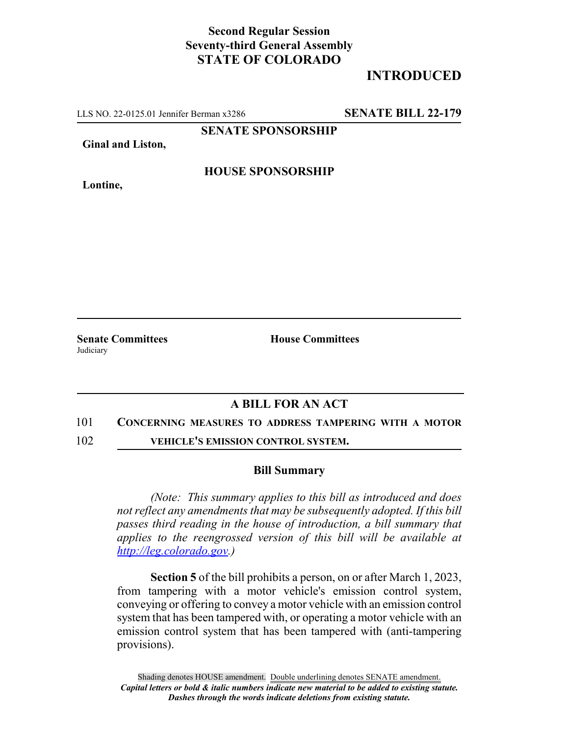## **Second Regular Session Seventy-third General Assembly STATE OF COLORADO**

# **INTRODUCED**

LLS NO. 22-0125.01 Jennifer Berman x3286 **SENATE BILL 22-179**

**SENATE SPONSORSHIP**

**Ginal and Liston,**

**Lontine,**

**HOUSE SPONSORSHIP**

**Judiciary** 

**Senate Committees House Committees** 

### **A BILL FOR AN ACT**

### 101 **CONCERNING MEASURES TO ADDRESS TAMPERING WITH A MOTOR**

102 **VEHICLE'S EMISSION CONTROL SYSTEM.**

### **Bill Summary**

*(Note: This summary applies to this bill as introduced and does not reflect any amendments that may be subsequently adopted. If this bill passes third reading in the house of introduction, a bill summary that applies to the reengrossed version of this bill will be available at http://leg.colorado.gov.)*

**Section 5** of the bill prohibits a person, on or after March 1, 2023, from tampering with a motor vehicle's emission control system, conveying or offering to convey a motor vehicle with an emission control system that has been tampered with, or operating a motor vehicle with an emission control system that has been tampered with (anti-tampering provisions).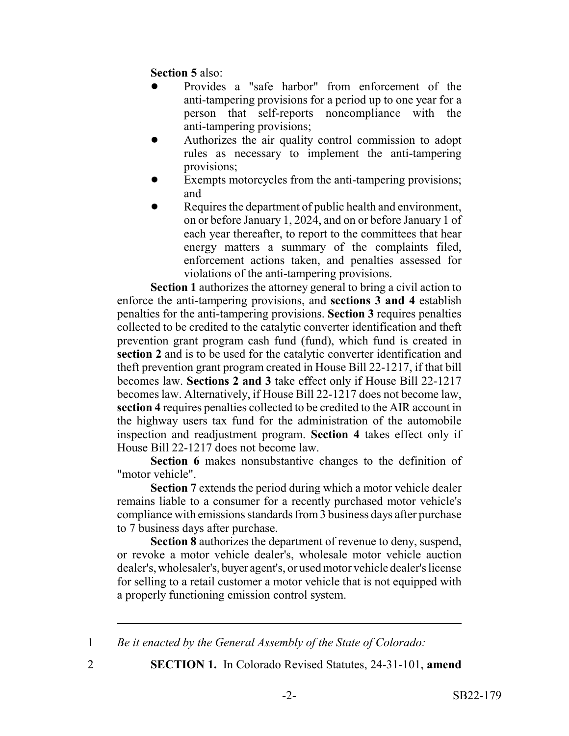**Section 5** also:

- ! Provides a "safe harbor" from enforcement of the anti-tampering provisions for a period up to one year for a person that self-reports noncompliance with the anti-tampering provisions;
- ! Authorizes the air quality control commission to adopt rules as necessary to implement the anti-tampering provisions;
- Exempts motorcycles from the anti-tampering provisions; and
- Requires the department of public health and environment, on or before January 1, 2024, and on or before January 1 of each year thereafter, to report to the committees that hear energy matters a summary of the complaints filed, enforcement actions taken, and penalties assessed for violations of the anti-tampering provisions.

**Section 1** authorizes the attorney general to bring a civil action to enforce the anti-tampering provisions, and **sections 3 and 4** establish penalties for the anti-tampering provisions. **Section 3** requires penalties collected to be credited to the catalytic converter identification and theft prevention grant program cash fund (fund), which fund is created in **section 2** and is to be used for the catalytic converter identification and theft prevention grant program created in House Bill 22-1217, if that bill becomes law. **Sections 2 and 3** take effect only if House Bill 22-1217 becomes law. Alternatively, if House Bill 22-1217 does not become law, **section 4** requires penalties collected to be credited to the AIR account in the highway users tax fund for the administration of the automobile inspection and readjustment program. **Section 4** takes effect only if House Bill 22-1217 does not become law.

**Section 6** makes nonsubstantive changes to the definition of "motor vehicle".

**Section 7** extends the period during which a motor vehicle dealer remains liable to a consumer for a recently purchased motor vehicle's compliance with emissions standards from 3 business days after purchase to 7 business days after purchase.

**Section 8** authorizes the department of revenue to deny, suspend, or revoke a motor vehicle dealer's, wholesale motor vehicle auction dealer's, wholesaler's, buyer agent's, or used motor vehicle dealer's license for selling to a retail customer a motor vehicle that is not equipped with a properly functioning emission control system.

1 *Be it enacted by the General Assembly of the State of Colorado:*

2 **SECTION 1.** In Colorado Revised Statutes, 24-31-101, **amend**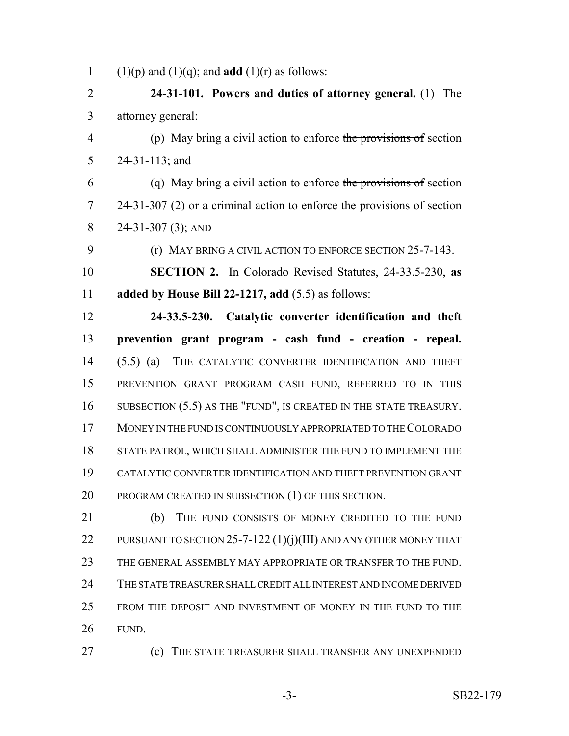1 (1)(p) and (1)(q); and **add** (1)(r) as follows:

 **24-31-101. Powers and duties of attorney general.** (1) The attorney general:

 (p) May bring a civil action to enforce the provisions of section 24-31-113; and

 (q) May bring a civil action to enforce the provisions of section 7 24-31-307 (2) or a criminal action to enforce the provisions of section 24-31-307 (3); AND

(r) MAY BRING A CIVIL ACTION TO ENFORCE SECTION 25-7-143.

 **SECTION 2.** In Colorado Revised Statutes, 24-33.5-230, **as added by House Bill 22-1217, add** (5.5) as follows:

 **24-33.5-230. Catalytic converter identification and theft prevention grant program - cash fund - creation - repeal.** (5.5) (a) THE CATALYTIC CONVERTER IDENTIFICATION AND THEFT PREVENTION GRANT PROGRAM CASH FUND, REFERRED TO IN THIS 16 SUBSECTION (5.5) AS THE "FUND", IS CREATED IN THE STATE TREASURY. MONEY IN THE FUND IS CONTINUOUSLY APPROPRIATED TO THE COLORADO STATE PATROL, WHICH SHALL ADMINISTER THE FUND TO IMPLEMENT THE CATALYTIC CONVERTER IDENTIFICATION AND THEFT PREVENTION GRANT 20 PROGRAM CREATED IN SUBSECTION (1) OF THIS SECTION.

 (b) THE FUND CONSISTS OF MONEY CREDITED TO THE FUND 22 PURSUANT TO SECTION 25-7-122 (1)(j)(III) AND ANY OTHER MONEY THAT THE GENERAL ASSEMBLY MAY APPROPRIATE OR TRANSFER TO THE FUND. THE STATE TREASURER SHALL CREDIT ALL INTEREST AND INCOME DERIVED FROM THE DEPOSIT AND INVESTMENT OF MONEY IN THE FUND TO THE FUND.

(c) THE STATE TREASURER SHALL TRANSFER ANY UNEXPENDED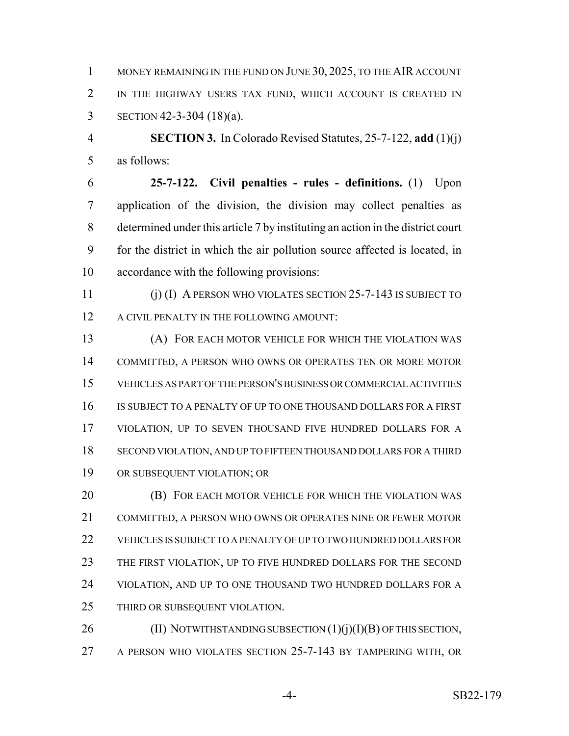1 MONEY REMAINING IN THE FUND ON JUNE 30, 2025, TO THE AIR ACCOUNT IN THE HIGHWAY USERS TAX FUND, WHICH ACCOUNT IS CREATED IN SECTION 42-3-304 (18)(a).

 **SECTION 3.** In Colorado Revised Statutes, 25-7-122, **add** (1)(j) as follows:

 **25-7-122. Civil penalties - rules - definitions.** (1) Upon application of the division, the division may collect penalties as determined under this article 7 by instituting an action in the district court for the district in which the air pollution source affected is located, in accordance with the following provisions:

 (j) (I) A PERSON WHO VIOLATES SECTION 25-7-143 IS SUBJECT TO 12 A CIVIL PENALTY IN THE FOLLOWING AMOUNT:

 (A) FOR EACH MOTOR VEHICLE FOR WHICH THE VIOLATION WAS COMMITTED, A PERSON WHO OWNS OR OPERATES TEN OR MORE MOTOR VEHICLES AS PART OF THE PERSON'S BUSINESS OR COMMERCIAL ACTIVITIES IS SUBJECT TO A PENALTY OF UP TO ONE THOUSAND DOLLARS FOR A FIRST VIOLATION, UP TO SEVEN THOUSAND FIVE HUNDRED DOLLARS FOR A SECOND VIOLATION, AND UP TO FIFTEEN THOUSAND DOLLARS FOR A THIRD OR SUBSEQUENT VIOLATION; OR

 (B) FOR EACH MOTOR VEHICLE FOR WHICH THE VIOLATION WAS COMMITTED, A PERSON WHO OWNS OR OPERATES NINE OR FEWER MOTOR VEHICLES IS SUBJECT TO A PENALTY OF UP TO TWO HUNDRED DOLLARS FOR THE FIRST VIOLATION, UP TO FIVE HUNDRED DOLLARS FOR THE SECOND 24 VIOLATION, AND UP TO ONE THOUSAND TWO HUNDRED DOLLARS FOR A THIRD OR SUBSEQUENT VIOLATION.

26 (II) NOTWITHSTANDING SUBSECTION (1)(j)(I)(B) OF THIS SECTION, A PERSON WHO VIOLATES SECTION 25-7-143 BY TAMPERING WITH, OR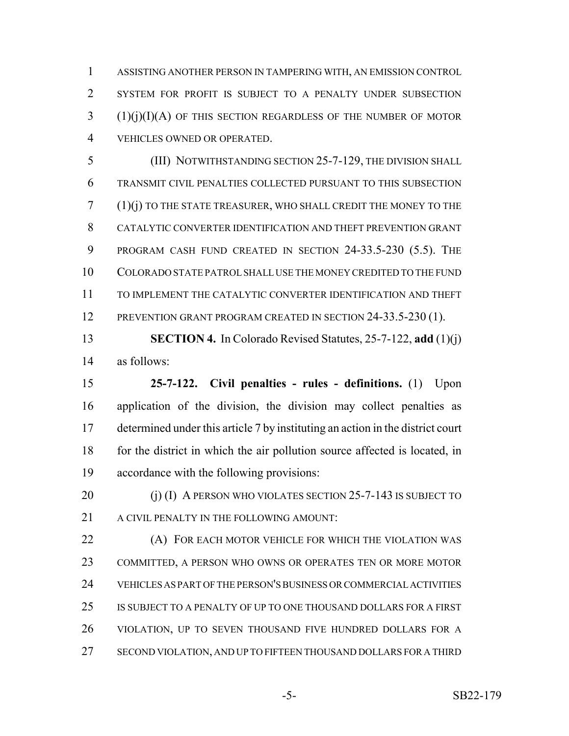ASSISTING ANOTHER PERSON IN TAMPERING WITH, AN EMISSION CONTROL SYSTEM FOR PROFIT IS SUBJECT TO A PENALTY UNDER SUBSECTION (1)(j)(I)(A) OF THIS SECTION REGARDLESS OF THE NUMBER OF MOTOR VEHICLES OWNED OR OPERATED.

 (III) NOTWITHSTANDING SECTION 25-7-129, THE DIVISION SHALL TRANSMIT CIVIL PENALTIES COLLECTED PURSUANT TO THIS SUBSECTION (1)(j) TO THE STATE TREASURER, WHO SHALL CREDIT THE MONEY TO THE CATALYTIC CONVERTER IDENTIFICATION AND THEFT PREVENTION GRANT PROGRAM CASH FUND CREATED IN SECTION 24-33.5-230 (5.5). THE COLORADO STATE PATROL SHALL USE THE MONEY CREDITED TO THE FUND TO IMPLEMENT THE CATALYTIC CONVERTER IDENTIFICATION AND THEFT 12 PREVENTION GRANT PROGRAM CREATED IN SECTION 24-33.5-230 (1).

 **SECTION 4.** In Colorado Revised Statutes, 25-7-122, **add** (1)(j) as follows:

 **25-7-122. Civil penalties - rules - definitions.** (1) Upon application of the division, the division may collect penalties as determined under this article 7 by instituting an action in the district court 18 for the district in which the air pollution source affected is located, in accordance with the following provisions:

20 (j) (I) A PERSON WHO VIOLATES SECTION 25-7-143 IS SUBJECT TO 21 A CIVIL PENALTY IN THE FOLLOWING AMOUNT:

**(A) FOR EACH MOTOR VEHICLE FOR WHICH THE VIOLATION WAS**  COMMITTED, A PERSON WHO OWNS OR OPERATES TEN OR MORE MOTOR VEHICLES AS PART OF THE PERSON'S BUSINESS OR COMMERCIAL ACTIVITIES IS SUBJECT TO A PENALTY OF UP TO ONE THOUSAND DOLLARS FOR A FIRST VIOLATION, UP TO SEVEN THOUSAND FIVE HUNDRED DOLLARS FOR A SECOND VIOLATION, AND UP TO FIFTEEN THOUSAND DOLLARS FOR A THIRD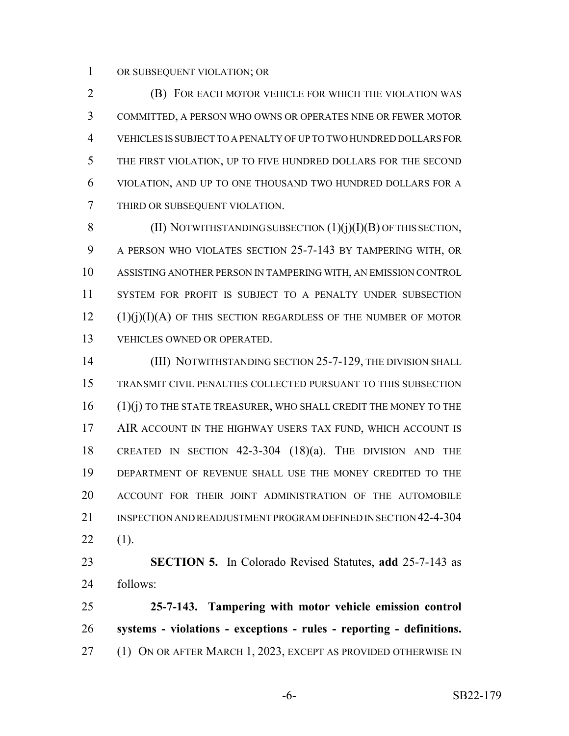OR SUBSEQUENT VIOLATION; OR

 (B) FOR EACH MOTOR VEHICLE FOR WHICH THE VIOLATION WAS COMMITTED, A PERSON WHO OWNS OR OPERATES NINE OR FEWER MOTOR VEHICLES IS SUBJECT TO A PENALTY OF UP TO TWO HUNDRED DOLLARS FOR THE FIRST VIOLATION, UP TO FIVE HUNDRED DOLLARS FOR THE SECOND VIOLATION, AND UP TO ONE THOUSAND TWO HUNDRED DOLLARS FOR A THIRD OR SUBSEQUENT VIOLATION.

8 (II) NOTWITHSTANDING SUBSECTION  $(1)(j)(I)(B)$  OF THIS SECTION, A PERSON WHO VIOLATES SECTION 25-7-143 BY TAMPERING WITH, OR ASSISTING ANOTHER PERSON IN TAMPERING WITH, AN EMISSION CONTROL SYSTEM FOR PROFIT IS SUBJECT TO A PENALTY UNDER SUBSECTION (1)(j)(I)(A) OF THIS SECTION REGARDLESS OF THE NUMBER OF MOTOR VEHICLES OWNED OR OPERATED.

**(III) NOTWITHSTANDING SECTION 25-7-129, THE DIVISION SHALL**  TRANSMIT CIVIL PENALTIES COLLECTED PURSUANT TO THIS SUBSECTION 16 (1)(j) TO THE STATE TREASURER, WHO SHALL CREDIT THE MONEY TO THE 17 AIR ACCOUNT IN THE HIGHWAY USERS TAX FUND, WHICH ACCOUNT IS CREATED IN SECTION 42-3-304 (18)(a). THE DIVISION AND THE DEPARTMENT OF REVENUE SHALL USE THE MONEY CREDITED TO THE ACCOUNT FOR THEIR JOINT ADMINISTRATION OF THE AUTOMOBILE INSPECTION AND READJUSTMENT PROGRAM DEFINED IN SECTION 42-4-304  $22 \t(1)$ .

 **SECTION 5.** In Colorado Revised Statutes, **add** 25-7-143 as follows:

 **25-7-143. Tampering with motor vehicle emission control systems - violations - exceptions - rules - reporting - definitions.** 27 (1) ON OR AFTER MARCH 1, 2023, EXCEPT AS PROVIDED OTHERWISE IN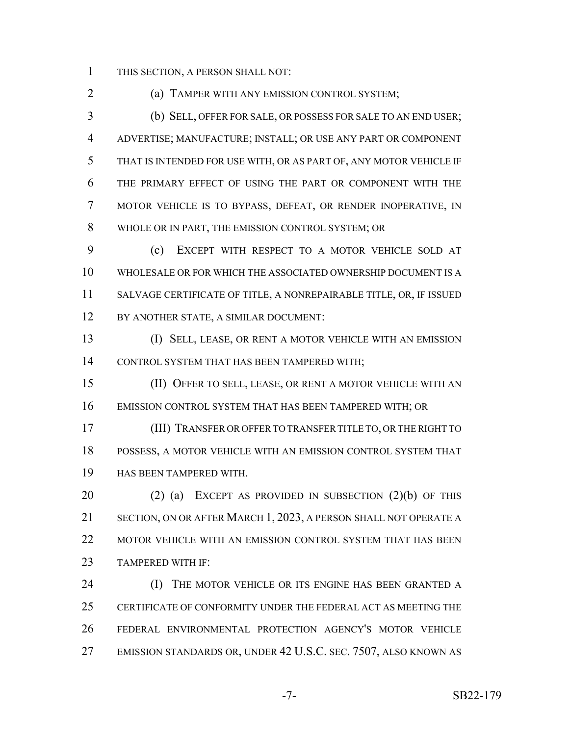THIS SECTION, A PERSON SHALL NOT:

(a) TAMPER WITH ANY EMISSION CONTROL SYSTEM;

 (b) SELL, OFFER FOR SALE, OR POSSESS FOR SALE TO AN END USER; ADVERTISE; MANUFACTURE; INSTALL; OR USE ANY PART OR COMPONENT THAT IS INTENDED FOR USE WITH, OR AS PART OF, ANY MOTOR VEHICLE IF THE PRIMARY EFFECT OF USING THE PART OR COMPONENT WITH THE MOTOR VEHICLE IS TO BYPASS, DEFEAT, OR RENDER INOPERATIVE, IN WHOLE OR IN PART, THE EMISSION CONTROL SYSTEM; OR

 (c) EXCEPT WITH RESPECT TO A MOTOR VEHICLE SOLD AT WHOLESALE OR FOR WHICH THE ASSOCIATED OWNERSHIP DOCUMENT IS A SALVAGE CERTIFICATE OF TITLE, A NONREPAIRABLE TITLE, OR, IF ISSUED BY ANOTHER STATE, A SIMILAR DOCUMENT:

 (I) SELL, LEASE, OR RENT A MOTOR VEHICLE WITH AN EMISSION CONTROL SYSTEM THAT HAS BEEN TAMPERED WITH;

 (II) OFFER TO SELL, LEASE, OR RENT A MOTOR VEHICLE WITH AN EMISSION CONTROL SYSTEM THAT HAS BEEN TAMPERED WITH; OR

 (III) TRANSFER OR OFFER TO TRANSFER TITLE TO, OR THE RIGHT TO POSSESS, A MOTOR VEHICLE WITH AN EMISSION CONTROL SYSTEM THAT HAS BEEN TAMPERED WITH.

 (2) (a) EXCEPT AS PROVIDED IN SUBSECTION (2)(b) OF THIS SECTION, ON OR AFTER MARCH 1, 2023, A PERSON SHALL NOT OPERATE A MOTOR VEHICLE WITH AN EMISSION CONTROL SYSTEM THAT HAS BEEN TAMPERED WITH IF:

**(I)** THE MOTOR VEHICLE OR ITS ENGINE HAS BEEN GRANTED A CERTIFICATE OF CONFORMITY UNDER THE FEDERAL ACT AS MEETING THE FEDERAL ENVIRONMENTAL PROTECTION AGENCY'S MOTOR VEHICLE 27 EMISSION STANDARDS OR, UNDER 42 U.S.C. SEC. 7507, ALSO KNOWN AS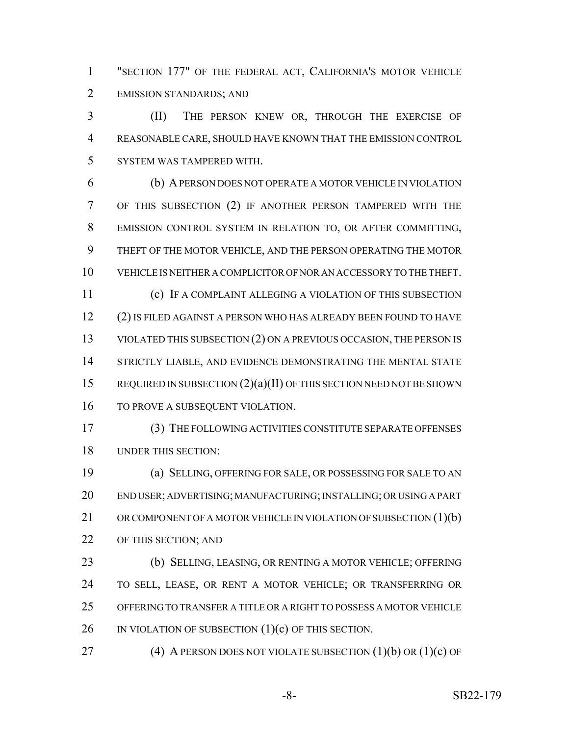"SECTION 177" OF THE FEDERAL ACT, CALIFORNIA'S MOTOR VEHICLE EMISSION STANDARDS; AND

 (II) THE PERSON KNEW OR, THROUGH THE EXERCISE OF REASONABLE CARE, SHOULD HAVE KNOWN THAT THE EMISSION CONTROL SYSTEM WAS TAMPERED WITH.

 (b) A PERSON DOES NOT OPERATE A MOTOR VEHICLE IN VIOLATION OF THIS SUBSECTION (2) IF ANOTHER PERSON TAMPERED WITH THE EMISSION CONTROL SYSTEM IN RELATION TO, OR AFTER COMMITTING, THEFT OF THE MOTOR VEHICLE, AND THE PERSON OPERATING THE MOTOR VEHICLE IS NEITHER A COMPLICITOR OF NOR AN ACCESSORY TO THE THEFT. (c) IF A COMPLAINT ALLEGING A VIOLATION OF THIS SUBSECTION (2) IS FILED AGAINST A PERSON WHO HAS ALREADY BEEN FOUND TO HAVE 13 VIOLATED THIS SUBSECTION (2) ON A PREVIOUS OCCASION, THE PERSON IS 14 STRICTLY LIABLE, AND EVIDENCE DEMONSTRATING THE MENTAL STATE 15 REQUIRED IN SUBSECTION (2)(a)(II) OF THIS SECTION NEED NOT BE SHOWN 16 TO PROVE A SUBSEQUENT VIOLATION.

 (3) THE FOLLOWING ACTIVITIES CONSTITUTE SEPARATE OFFENSES UNDER THIS SECTION:

 (a) SELLING, OFFERING FOR SALE, OR POSSESSING FOR SALE TO AN END USER; ADVERTISING; MANUFACTURING; INSTALLING; OR USING A PART 21 OR COMPONENT OF A MOTOR VEHICLE IN VIOLATION OF SUBSECTION (1)(b) 22 OF THIS SECTION; AND

 (b) SELLING, LEASING, OR RENTING A MOTOR VEHICLE; OFFERING TO SELL, LEASE, OR RENT A MOTOR VEHICLE; OR TRANSFERRING OR OFFERING TO TRANSFER A TITLE OR A RIGHT TO POSSESS A MOTOR VEHICLE 26 IN VIOLATION OF SUBSECTION (1)(c) OF THIS SECTION.

27 (4) A PERSON DOES NOT VIOLATE SUBSECTION  $(1)(b)$  OR  $(1)(c)$  OF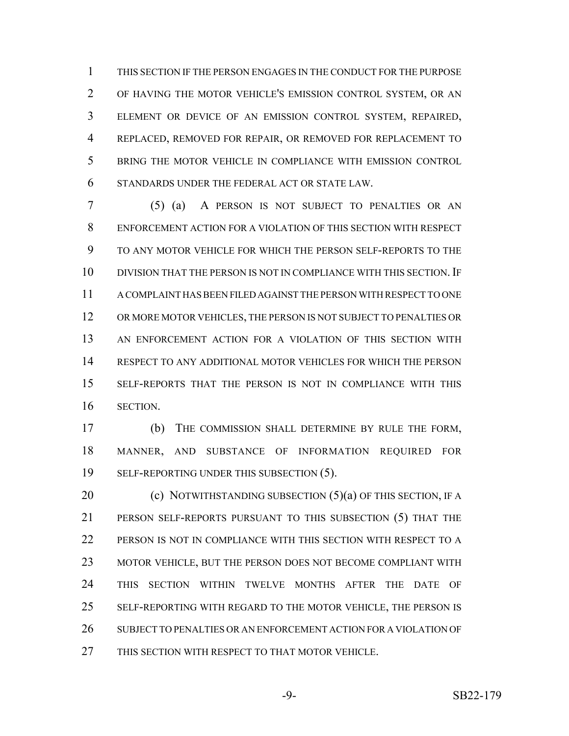THIS SECTION IF THE PERSON ENGAGES IN THE CONDUCT FOR THE PURPOSE OF HAVING THE MOTOR VEHICLE'S EMISSION CONTROL SYSTEM, OR AN ELEMENT OR DEVICE OF AN EMISSION CONTROL SYSTEM, REPAIRED, REPLACED, REMOVED FOR REPAIR, OR REMOVED FOR REPLACEMENT TO BRING THE MOTOR VEHICLE IN COMPLIANCE WITH EMISSION CONTROL STANDARDS UNDER THE FEDERAL ACT OR STATE LAW.

 (5) (a) A PERSON IS NOT SUBJECT TO PENALTIES OR AN ENFORCEMENT ACTION FOR A VIOLATION OF THIS SECTION WITH RESPECT TO ANY MOTOR VEHICLE FOR WHICH THE PERSON SELF-REPORTS TO THE DIVISION THAT THE PERSON IS NOT IN COMPLIANCE WITH THIS SECTION. IF A COMPLAINT HAS BEEN FILED AGAINST THE PERSON WITH RESPECT TO ONE OR MORE MOTOR VEHICLES, THE PERSON IS NOT SUBJECT TO PENALTIES OR AN ENFORCEMENT ACTION FOR A VIOLATION OF THIS SECTION WITH RESPECT TO ANY ADDITIONAL MOTOR VEHICLES FOR WHICH THE PERSON SELF-REPORTS THAT THE PERSON IS NOT IN COMPLIANCE WITH THIS SECTION.

 (b) THE COMMISSION SHALL DETERMINE BY RULE THE FORM, MANNER, AND SUBSTANCE OF INFORMATION REQUIRED FOR 19 SELF-REPORTING UNDER THIS SUBSECTION (5).

**(c) NOTWITHSTANDING SUBSECTION (5)(a) OF THIS SECTION, IF A**  PERSON SELF-REPORTS PURSUANT TO THIS SUBSECTION (5) THAT THE PERSON IS NOT IN COMPLIANCE WITH THIS SECTION WITH RESPECT TO A MOTOR VEHICLE, BUT THE PERSON DOES NOT BECOME COMPLIANT WITH THIS SECTION WITHIN TWELVE MONTHS AFTER THE DATE OF 25 SELF-REPORTING WITH REGARD TO THE MOTOR VEHICLE, THE PERSON IS SUBJECT TO PENALTIES OR AN ENFORCEMENT ACTION FOR A VIOLATION OF THIS SECTION WITH RESPECT TO THAT MOTOR VEHICLE.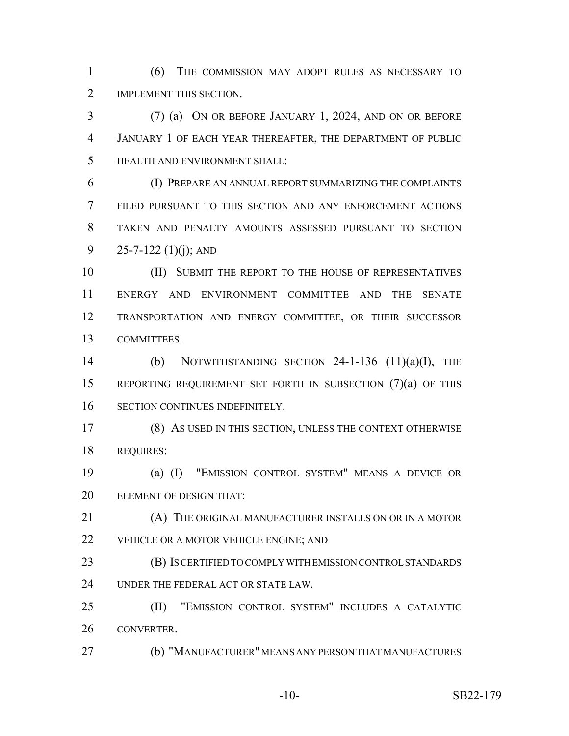(6) THE COMMISSION MAY ADOPT RULES AS NECESSARY TO 2 IMPLEMENT THIS SECTION.

 (7) (a) ON OR BEFORE JANUARY 1, 2024, AND ON OR BEFORE JANUARY 1 OF EACH YEAR THEREAFTER, THE DEPARTMENT OF PUBLIC HEALTH AND ENVIRONMENT SHALL:

 (I) PREPARE AN ANNUAL REPORT SUMMARIZING THE COMPLAINTS FILED PURSUANT TO THIS SECTION AND ANY ENFORCEMENT ACTIONS TAKEN AND PENALTY AMOUNTS ASSESSED PURSUANT TO SECTION 9 25-7-122 (1)(j); AND

10 (II) SUBMIT THE REPORT TO THE HOUSE OF REPRESENTATIVES ENERGY AND ENVIRONMENT COMMITTEE AND THE SENATE TRANSPORTATION AND ENERGY COMMITTEE, OR THEIR SUCCESSOR COMMITTEES.

 (b) NOTWITHSTANDING SECTION 24-1-136 (11)(a)(I), THE REPORTING REQUIREMENT SET FORTH IN SUBSECTION (7)(a) OF THIS SECTION CONTINUES INDEFINITELY.

 (8) AS USED IN THIS SECTION, UNLESS THE CONTEXT OTHERWISE REQUIRES:

 (a) (I) "EMISSION CONTROL SYSTEM" MEANS A DEVICE OR ELEMENT OF DESIGN THAT:

 (A) THE ORIGINAL MANUFACTURER INSTALLS ON OR IN A MOTOR 22 VEHICLE OR A MOTOR VEHICLE ENGINE; AND

 (B) IS CERTIFIED TO COMPLY WITH EMISSION CONTROL STANDARDS UNDER THE FEDERAL ACT OR STATE LAW.

 (II) "EMISSION CONTROL SYSTEM" INCLUDES A CATALYTIC CONVERTER.

(b) "MANUFACTURER" MEANS ANY PERSON THAT MANUFACTURES

-10- SB22-179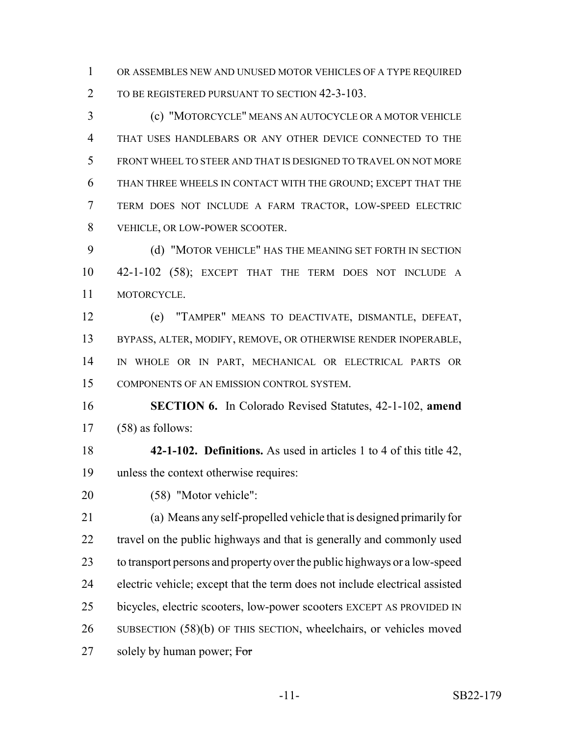OR ASSEMBLES NEW AND UNUSED MOTOR VEHICLES OF A TYPE REQUIRED 2 TO BE REGISTERED PURSUANT TO SECTION 42-3-103.

 (c) "MOTORCYCLE" MEANS AN AUTOCYCLE OR A MOTOR VEHICLE THAT USES HANDLEBARS OR ANY OTHER DEVICE CONNECTED TO THE FRONT WHEEL TO STEER AND THAT IS DESIGNED TO TRAVEL ON NOT MORE THAN THREE WHEELS IN CONTACT WITH THE GROUND; EXCEPT THAT THE TERM DOES NOT INCLUDE A FARM TRACTOR, LOW-SPEED ELECTRIC VEHICLE, OR LOW-POWER SCOOTER.

 (d) "MOTOR VEHICLE" HAS THE MEANING SET FORTH IN SECTION 42-1-102 (58); EXCEPT THAT THE TERM DOES NOT INCLUDE A MOTORCYCLE.

 (e) "TAMPER" MEANS TO DEACTIVATE, DISMANTLE, DEFEAT, BYPASS, ALTER, MODIFY, REMOVE, OR OTHERWISE RENDER INOPERABLE, IN WHOLE OR IN PART, MECHANICAL OR ELECTRICAL PARTS OR COMPONENTS OF AN EMISSION CONTROL SYSTEM.

 **SECTION 6.** In Colorado Revised Statutes, 42-1-102, **amend** (58) as follows:

 **42-1-102. Definitions.** As used in articles 1 to 4 of this title 42, unless the context otherwise requires:

(58) "Motor vehicle":

 (a) Means any self-propelled vehicle that is designed primarily for 22 travel on the public highways and that is generally and commonly used to transport persons and property over the public highways or a low-speed electric vehicle; except that the term does not include electrical assisted bicycles, electric scooters, low-power scooters EXCEPT AS PROVIDED IN SUBSECTION (58)(b) OF THIS SECTION, wheelchairs, or vehicles moved 27 solely by human power; For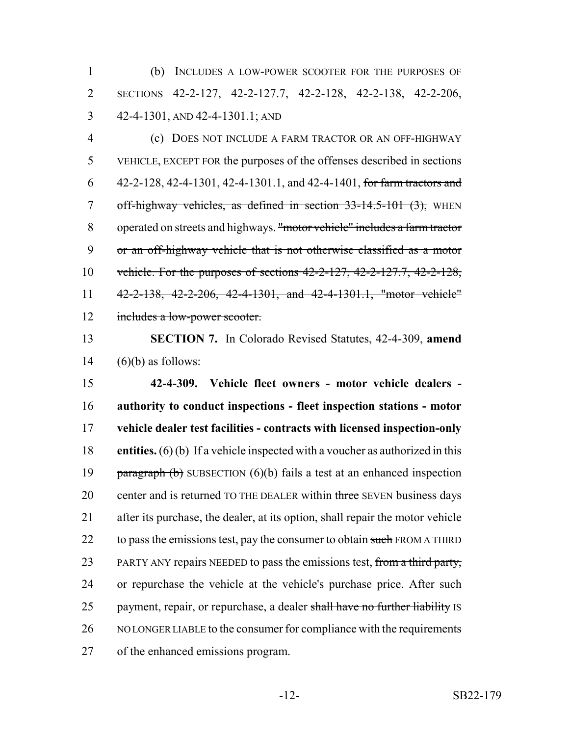(b) INCLUDES A LOW-POWER SCOOTER FOR THE PURPOSES OF SECTIONS 42-2-127, 42-2-127.7, 42-2-128, 42-2-138, 42-2-206, 42-4-1301, AND 42-4-1301.1; AND

 (c) DOES NOT INCLUDE A FARM TRACTOR OR AN OFF-HIGHWAY VEHICLE, EXCEPT FOR the purposes of the offenses described in sections 42-2-128, 42-4-1301, 42-4-1301.1, and 42-4-1401, for farm tractors and off-highway vehicles, as defined in section 33-14.5-101 (3), WHEN operated on streets and highways. "motor vehicle" includes a farm tractor or an off-highway vehicle that is not otherwise classified as a motor vehicle. For the purposes of sections 42-2-127, 42-2-127.7, 42-2-128, 42-2-138, 42-2-206, 42-4-1301, and 42-4-1301.1, "motor vehicle" 12 includes a low-power scooter.

 **SECTION 7.** In Colorado Revised Statutes, 42-4-309, **amend** 14  $(6)(b)$  as follows:

 **42-4-309. Vehicle fleet owners - motor vehicle dealers - authority to conduct inspections - fleet inspection stations - motor vehicle dealer test facilities - contracts with licensed inspection-only entities.** (6) (b) If a vehicle inspected with a voucher as authorized in this 19 paragraph  $(b)$  SUBSECTION  $(6)(b)$  fails a test at an enhanced inspection 20 center and is returned TO THE DEALER within three SEVEN business days after its purchase, the dealer, at its option, shall repair the motor vehicle 22 to pass the emissions test, pay the consumer to obtain such FROM A THIRD 23 PARTY ANY repairs NEEDED to pass the emissions test, from a third party, or repurchase the vehicle at the vehicle's purchase price. After such 25 payment, repair, or repurchase, a dealer shall have no further liability IS NO LONGER LIABLE to the consumer for compliance with the requirements of the enhanced emissions program.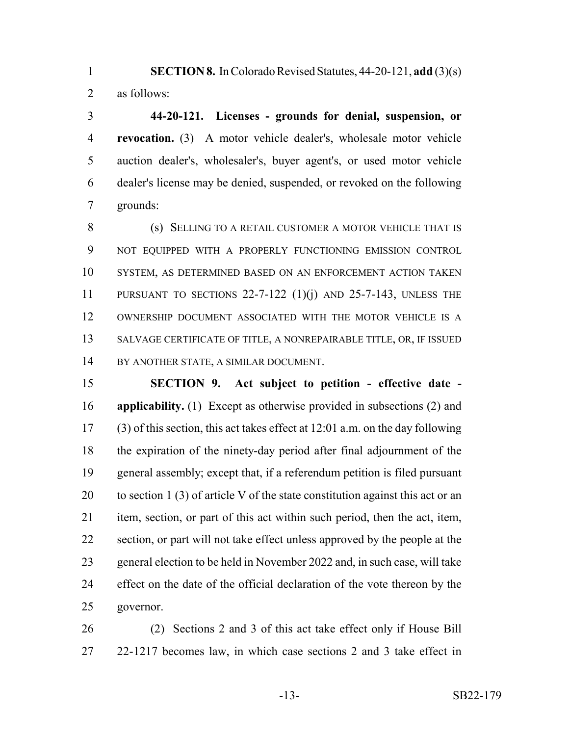**SECTION 8.** In Colorado Revised Statutes, 44-20-121, **add** (3)(s) as follows:

 **44-20-121. Licenses - grounds for denial, suspension, or revocation.** (3) A motor vehicle dealer's, wholesale motor vehicle auction dealer's, wholesaler's, buyer agent's, or used motor vehicle dealer's license may be denied, suspended, or revoked on the following grounds:

8 (s) SELLING TO A RETAIL CUSTOMER A MOTOR VEHICLE THAT IS NOT EQUIPPED WITH A PROPERLY FUNCTIONING EMISSION CONTROL SYSTEM, AS DETERMINED BASED ON AN ENFORCEMENT ACTION TAKEN PURSUANT TO SECTIONS 22-7-122 (1)(j) AND 25-7-143, UNLESS THE OWNERSHIP DOCUMENT ASSOCIATED WITH THE MOTOR VEHICLE IS A 13 SALVAGE CERTIFICATE OF TITLE, A NONREPAIRABLE TITLE, OR, IF ISSUED BY ANOTHER STATE, A SIMILAR DOCUMENT.

 **SECTION 9. Act subject to petition - effective date - applicability.** (1) Except as otherwise provided in subsections (2) and (3) of this section, this act takes effect at 12:01 a.m. on the day following the expiration of the ninety-day period after final adjournment of the general assembly; except that, if a referendum petition is filed pursuant 20 to section 1 (3) of article V of the state constitution against this act or an item, section, or part of this act within such period, then the act, item, section, or part will not take effect unless approved by the people at the general election to be held in November 2022 and, in such case, will take effect on the date of the official declaration of the vote thereon by the governor.

 (2) Sections 2 and 3 of this act take effect only if House Bill 22-1217 becomes law, in which case sections 2 and 3 take effect in